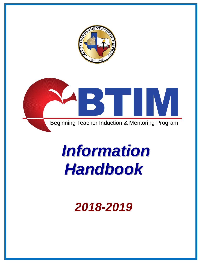



# *Information Handbook*

# *2018-2019*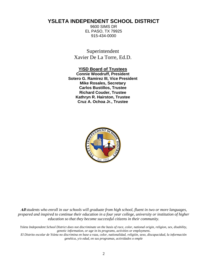# **YSLETA INDEPENDENT SCHOOL DISTRICT**

9600 SIMS DR EL PASO, TX 79925 915-434-0000

Superintendent Xavier De La Torre, Ed.D.

**YISD Board of Trustees Connie Woodruff, President Sotero G. Ramirez III, Vice President Mike Rosales, Secretary Carlos Bustillos, Trustee Richard Couder, Trustee Kathryn R. Hairston, Trustee Cruz A. Ochoa Jr., Trustee**



**All** *students who enroll in our schools will graduate from high school, fluent in two or more languages, prepared and inspired to continue their education in a four year college, university or institution of higher education so that they become successful citizens in their community.*

*Ysleta Independent School District does not discriminate on the basis of race, color, national origin, religion, sex, disability, genetic information, or age in its programs, activities or employment***.**

*El Distrito escolar de Ysleta no discrimina en base a raza, color, nationalidad, religión, sexo, discapacidad, la información genética, y/o edad, en sus programas, actividades o emple*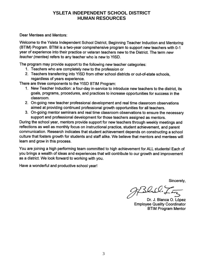## **YSLETA INDEPENDENT SCHOOL DISTRICT HUMAN RESOURCES**

Dear Mentees and Mentors:

Welcome to the Ysleta Independent School District, Beginning Teacher Induction and Mentoring (BTIM) Program. BTIM is a two-year comprehensive program to support new teachers with 0-1 year of experience into their practice or veteran teachers new to the District. The term new teacher (mentee) refers to any teacher who is new to YISD.

The program may provide support to the following new teacher categories:

- 1. Teachers who are completely new to the profession or
- 2. Teachers transferring into YISD from other school districts or out-of-state schools, regardless of years experience.

There are three components to the YISD BTIM Program:

- 1. New Teacher Induction: a four-day in-service to introduce new teachers to the district, its goals, programs, procedures, and practices to increase opportunities for success in the classroom.
- 2. On-going new teacher professional development and real time classroom observations aimed at providing continued professional growth opportunities for all teachers.
- 3. On-going mentor seminars and real time classroom observations to ensure the necessary support and professional development for those teachers assigned as mentors.

During the school year, mentors provide support for new teachers through weekly meetings and reflections as well as monthly focus on instructional practice, student achievement, and parent communication. Research indicates that student achievement depends on constructing a school culture that fosters growth for students and staff alike. We believe that mentors and mentees will learn and grow in this process.

You are joining a high performing team committed to high achievement for ALL students! Each of you brings a wealth of ideas and experiences that will contribute to our growth and improvement as a district. We look forward to working with you.

Have a wonderful and productive school year!

Sincerely,

JfBlil!

Dr. J. Blanca O. López **Employee Quality Coordinator BTIM Program Mentor**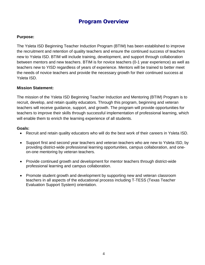# **Program Overview**

#### **Purpose:**

The Ysleta ISD Beginning Teacher Induction Program (BTIM) has been established to improve the recruitment and retention of quality teachers and ensure the continued success of teachers new to Ysleta ISD. BTIM will include training, development, and support through collaboration between mentors and new teachers. BTIM is for novice teachers (0-1 year experience) as well as teachers new to YISD regardless of years of experience. Mentors will be trained to better meet the needs of novice teachers and provide the necessary growth for their continued success at Ysleta ISD.

#### **Mission Statement:**

The mission of the Ysleta ISD Beginning Teacher Induction and Mentoring (BTIM) Program is to recruit, develop, and retain quality educators. Through this program, beginning and veteran teachers will receive guidance, support, and growth. The program will provide opportunities for teachers to improve their skills through successful implementation of professional learning, which will enable them to enrich the learning experience of all students.

#### **Goals:**

- Recruit and retain quality educators who will do the best work of their careers in Ysleta ISD.
- Support first and second year teachers and veteran teachers who are new to Ysleta ISD, by providing district-wide professional learning opportunities, campus collaboration, and oneon-one mentoring by veteran teachers.
- Provide continued growth and development for mentor teachers through district-wide professional learning and campus collaboration.
- Promote student growth and development by supporting new and veteran classroom teachers in all aspects of the educational process including T-TESS (Texas Teacher Evaluation Support System) orientation.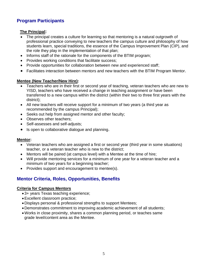# **Program Participants**

#### **The Principal:**

- The principal creates a culture for learning so that mentoring is a natural outgrowth of professional practice conveying to new teachers the campus culture and philosophy of how students learn, special traditions, the essence of the Campus Improvement Plan (CIP), and the role they play in the implementation of that plan;
- Informs staff of the rationale for the components of the BTIM program;
- Provides working conditions that facilitate success;
- Provide opportunities for collaboration between new and experienced staff;
- Facilitates interaction between mentors and new teachers with the BTIM Program Mentor.

#### **Mentee (New Teacher/New Hire):**

- Teachers who are in their first or second year of teaching, veteran teachers who are new to YISD, teachers who have received a change in teaching assignment or have been transferred to a new campus within the district (within their two to three first years with the district);
- All new teachers will receive support for a minimum of two years (a third year as recommended by the campus Principal);
- Seeks out help from assigned mentor and other faculty;
- Observes other teachers:
- Self-assesses and self-adjusts;
- Is open to collaborative dialogue and planning.

#### **Mentor:**

- Veteran teachers who are assigned a first or second year (third year in some situations) teacher, or a veteran teacher who is new to the district;
- Mentors will be paired (at campus level) with a Mentee at the time of hire;
- Will provide mentoring services for a minimum of one year for a veteran teacher and a minimum of two years for a beginning teacher;
- Provides support and encouragement to mentee(s).

### **Mentor Criteria, Roles, Opportunities, Benefits**

#### **Criteria for Campus Mentors**

- 3+ years Texas teaching experience;
- Excellent classroom practice;
- Displays personal & professional strengths to support Mentees;
- Demonstrates commitment to improving academic achievement of all students;
- Works in close proximity, shares a common planning period, or teaches same grade level/content area as the Mentee.